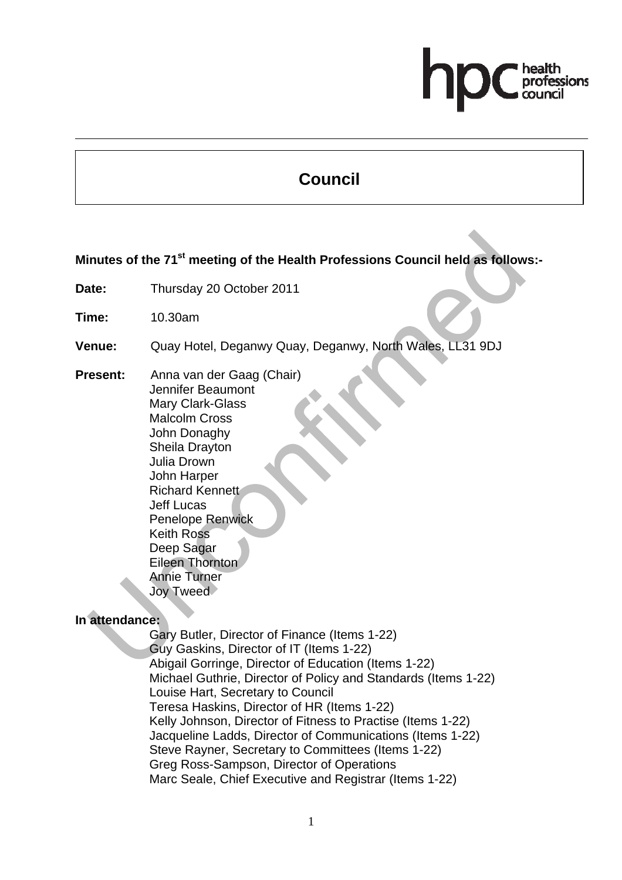# professions

# **Council**

**Minutes of the 71st meeting of the Health Professions Council held as follows:-** 

- **Date:** Thursday 20 October 2011
- **Time:** 10.30am
- **Venue:** Quay Hotel, Deganwy Quay, Deganwy, North Wales, LL31 9DJ
- **Present:** Anna van der Gaag (Chair) Jennifer Beaumont Mary Clark-Glass Malcolm Cross John Donaghy Sheila Drayton Julia Drown John Harper Richard Kennett Jeff Lucas Penelope Renwick Keith Ross Deep Sagar Eileen Thornton Annie Turner Joy Tweed

# **In attendance:**

Gary Butler, Director of Finance (Items 1-22) Guy Gaskins, Director of IT (Items 1-22) Abigail Gorringe, Director of Education (Items 1-22) Michael Guthrie, Director of Policy and Standards (Items 1-22) Louise Hart, Secretary to Council Teresa Haskins, Director of HR (Items 1-22) Kelly Johnson, Director of Fitness to Practise (Items 1-22) Jacqueline Ladds, Director of Communications (Items 1-22) Steve Rayner, Secretary to Committees (Items 1-22) Greg Ross-Sampson, Director of Operations Marc Seale, Chief Executive and Registrar (Items 1-22)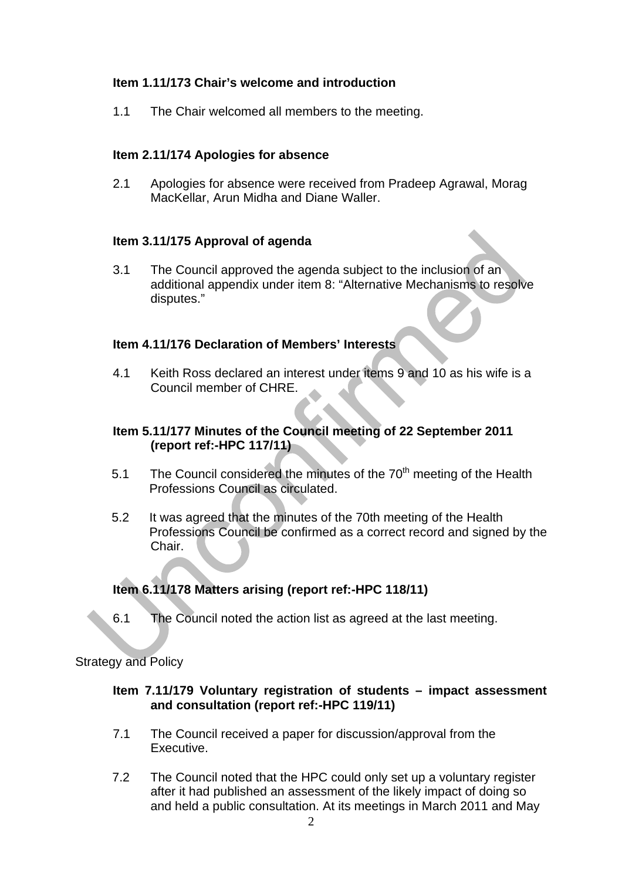# **Item 1.11/173 Chair's welcome and introduction**

1.1 The Chair welcomed all members to the meeting.

# **Item 2.11/174 Apologies for absence**

2.1 Apologies for absence were received from Pradeep Agrawal, Morag MacKellar, Arun Midha and Diane Waller.

# **Item 3.11/175 Approval of agenda**

3.1 The Council approved the agenda subject to the inclusion of an additional appendix under item 8: "Alternative Mechanisms to resolve disputes."

#### **Item 4.11/176 Declaration of Members' Interests**

4.1 Keith Ross declared an interest under items 9 and 10 as his wife is a Council member of CHRE.

# **Item 5.11/177 Minutes of the Council meeting of 22 September 2011 (report ref:-HPC 117/11)**

- 5.1 The Council considered the minutes of the  $70<sup>th</sup>$  meeting of the Health Professions Council as circulated.
- 5.2 It was agreed that the minutes of the 70th meeting of the Health Professions Council be confirmed as a correct record and signed by the Chair.

# **Item 6.11/178 Matters arising (report ref:-HPC 118/11)**

6.1 The Council noted the action list as agreed at the last meeting.

#### Strategy and Policy

#### **Item 7.11/179 Voluntary registration of students – impact assessment and consultation (report ref:-HPC 119/11)**

- 7.1 The Council received a paper for discussion/approval from the Executive.
- 7.2 The Council noted that the HPC could only set up a voluntary register after it had published an assessment of the likely impact of doing so and held a public consultation. At its meetings in March 2011 and May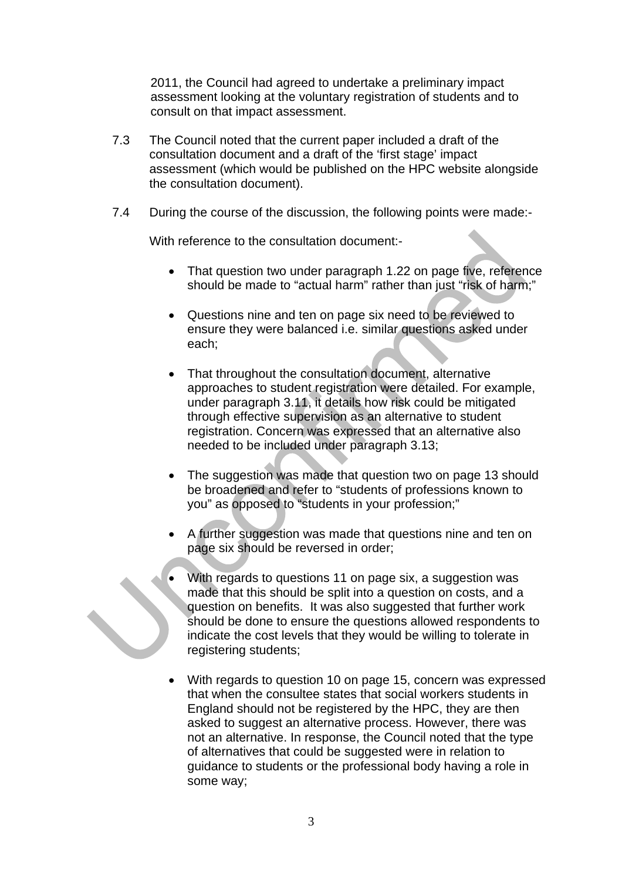2011, the Council had agreed to undertake a preliminary impact assessment looking at the voluntary registration of students and to consult on that impact assessment.

- 7.3 The Council noted that the current paper included a draft of the consultation document and a draft of the 'first stage' impact assessment (which would be published on the HPC website alongside the consultation document).
- 7.4 During the course of the discussion, the following points were made:-

With reference to the consultation document:-

- That question two under paragraph 1.22 on page five, reference should be made to "actual harm" rather than just "risk of harm;"
- Questions nine and ten on page six need to be reviewed to ensure they were balanced i.e. similar questions asked under each;
- That throughout the consultation document, alternative approaches to student registration were detailed. For example, under paragraph 3.11, it details how risk could be mitigated through effective supervision as an alternative to student registration. Concern was expressed that an alternative also needed to be included under paragraph 3.13;
- The suggestion was made that question two on page 13 should be broadened and refer to "students of professions known to you" as opposed to "students in your profession;"
- A further suggestion was made that questions nine and ten on page six should be reversed in order;
	- With regards to questions 11 on page six, a suggestion was made that this should be split into a question on costs, and a question on benefits. It was also suggested that further work should be done to ensure the questions allowed respondents to indicate the cost levels that they would be willing to tolerate in registering students;
- With regards to question 10 on page 15, concern was expressed that when the consultee states that social workers students in England should not be registered by the HPC, they are then asked to suggest an alternative process. However, there was not an alternative. In response, the Council noted that the type of alternatives that could be suggested were in relation to guidance to students or the professional body having a role in some way;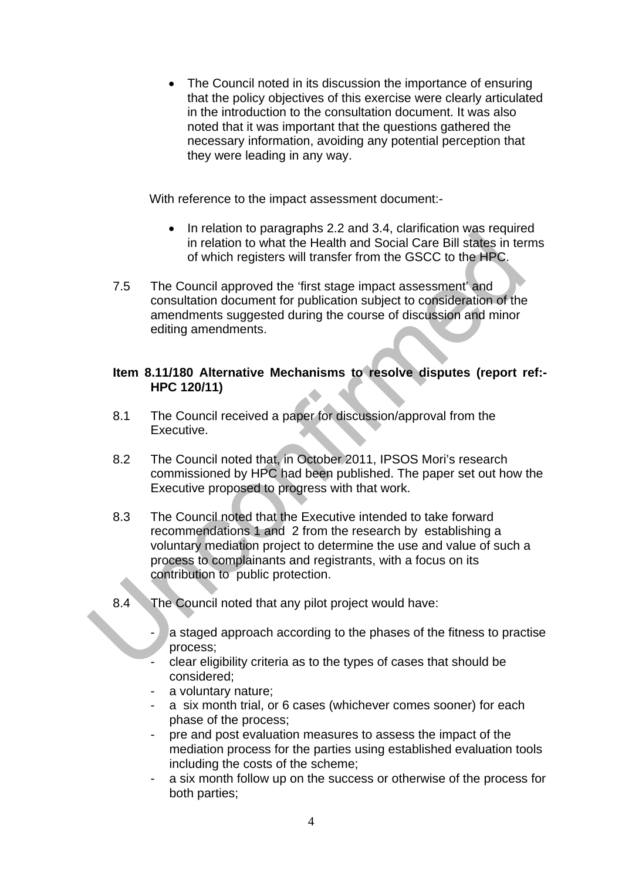• The Council noted in its discussion the importance of ensuring that the policy objectives of this exercise were clearly articulated in the introduction to the consultation document. It was also noted that it was important that the questions gathered the necessary information, avoiding any potential perception that they were leading in any way.

With reference to the impact assessment document:-

- In relation to paragraphs 2.2 and 3.4, clarification was required in relation to what the Health and Social Care Bill states in terms of which registers will transfer from the GSCC to the HPC.
- 7.5 The Council approved the 'first stage impact assessment' and consultation document for publication subject to consideration of the amendments suggested during the course of discussion and minor editing amendments.

# **Item 8.11/180 Alternative Mechanisms to resolve disputes (report ref:- HPC 120/11)**

- 8.1 The Council received a paper for discussion/approval from the Executive.
- 8.2 The Council noted that, in October 2011, IPSOS Mori's research commissioned by HPC had been published. The paper set out how the Executive proposed to progress with that work.
- 8.3 The Council noted that the Executive intended to take forward recommendations 1 and 2 from the research by establishing a voluntary mediation project to determine the use and value of such a process to complainants and registrants, with a focus on its contribution to public protection.
- 8.4 The Council noted that any pilot project would have:
	- a staged approach according to the phases of the fitness to practise process;
	- clear eligibility criteria as to the types of cases that should be considered;
	- a voluntary nature;
	- a six month trial, or 6 cases (whichever comes sooner) for each phase of the process;
	- pre and post evaluation measures to assess the impact of the mediation process for the parties using established evaluation tools including the costs of the scheme;
	- a six month follow up on the success or otherwise of the process for both parties;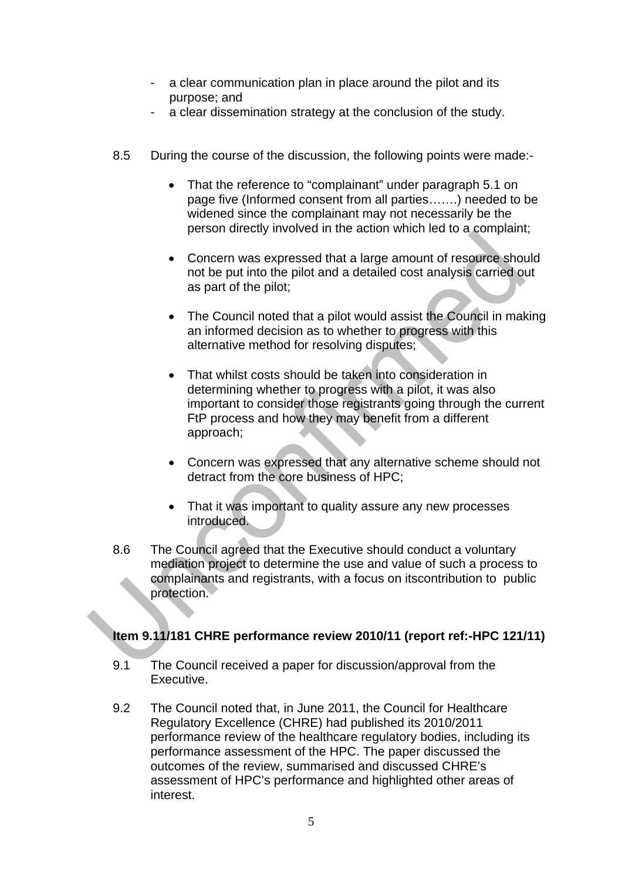- a clear communication plan in place around the pilot and its purpose; and
- a clear dissemination strategy at the conclusion of the study.
- 8.5 During the course of the discussion, the following points were made:-
	- That the reference to "complainant" under paragraph 5.1 on page five (Informed consent from all parties…….) needed to be widened since the complainant may not necessarily be the person directly involved in the action which led to a complaint;
	- Concern was expressed that a large amount of resource should not be put into the pilot and a detailed cost analysis carried out as part of the pilot;
	- The Council noted that a pilot would assist the Council in making an informed decision as to whether to progress with this alternative method for resolving disputes;
	- That whilst costs should be taken into consideration in determining whether to progress with a pilot, it was also important to consider those registrants going through the current FtP process and how they may benefit from a different approach;
	- Concern was expressed that any alternative scheme should not detract from the core business of HPC;
	- That it was important to quality assure any new processes introduced.
- 8.6 The Council agreed that the Executive should conduct a voluntary mediation project to determine the use and value of such a process to complainants and registrants, with a focus on itscontribution to public protection.

# **Item 9.11/181 CHRE performance review 2010/11 (report ref:-HPC 121/11)**

- 9.1 The Council received a paper for discussion/approval from the Executive.
- 9.2 The Council noted that, in June 2011, the Council for Healthcare Regulatory Excellence (CHRE) had published its 2010/2011 performance review of the healthcare regulatory bodies, including its performance assessment of the HPC. The paper discussed the outcomes of the review, summarised and discussed CHRE's assessment of HPC's performance and highlighted other areas of interest.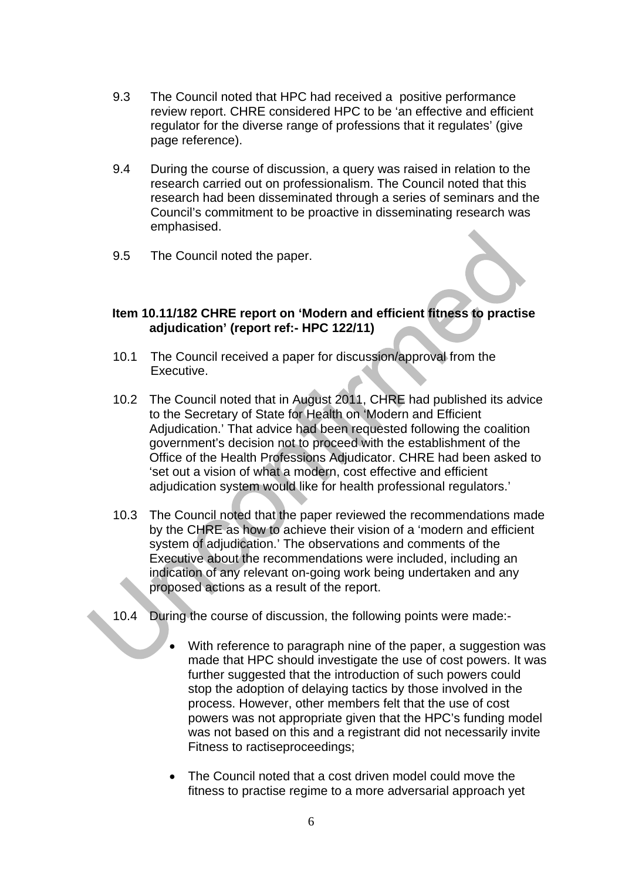- 9.3 The Council noted that HPC had received a positive performance review report. CHRE considered HPC to be 'an effective and efficient regulator for the diverse range of professions that it regulates' (give page reference).
- 9.4 During the course of discussion, a query was raised in relation to the research carried out on professionalism. The Council noted that this research had been disseminated through a series of seminars and the Council's commitment to be proactive in disseminating research was emphasised.
- 9.5 The Council noted the paper.

# **Item 10.11/182 CHRE report on 'Modern and efficient fitness to practise adjudication' (report ref:- HPC 122/11)**

- 10.1 The Council received a paper for discussion/approval from the Executive.
- 10.2 The Council noted that in August 2011, CHRE had published its advice to the Secretary of State for Health on 'Modern and Efficient Adjudication.' That advice had been requested following the coalition government's decision not to proceed with the establishment of the Office of the Health Professions Adjudicator. CHRE had been asked to 'set out a vision of what a modern, cost effective and efficient adjudication system would like for health professional regulators.'
- 10.3 The Council noted that the paper reviewed the recommendations made by the CHRE as how to achieve their vision of a 'modern and efficient system of adjudication.' The observations and comments of the Executive about the recommendations were included, including an indication of any relevant on-going work being undertaken and any proposed actions as a result of the report.
- 10.4 During the course of discussion, the following points were made:-
	- With reference to paragraph nine of the paper, a suggestion was made that HPC should investigate the use of cost powers. It was further suggested that the introduction of such powers could stop the adoption of delaying tactics by those involved in the process. However, other members felt that the use of cost powers was not appropriate given that the HPC's funding model was not based on this and a registrant did not necessarily invite Fitness to ractiseproceedings;
	- The Council noted that a cost driven model could move the fitness to practise regime to a more adversarial approach yet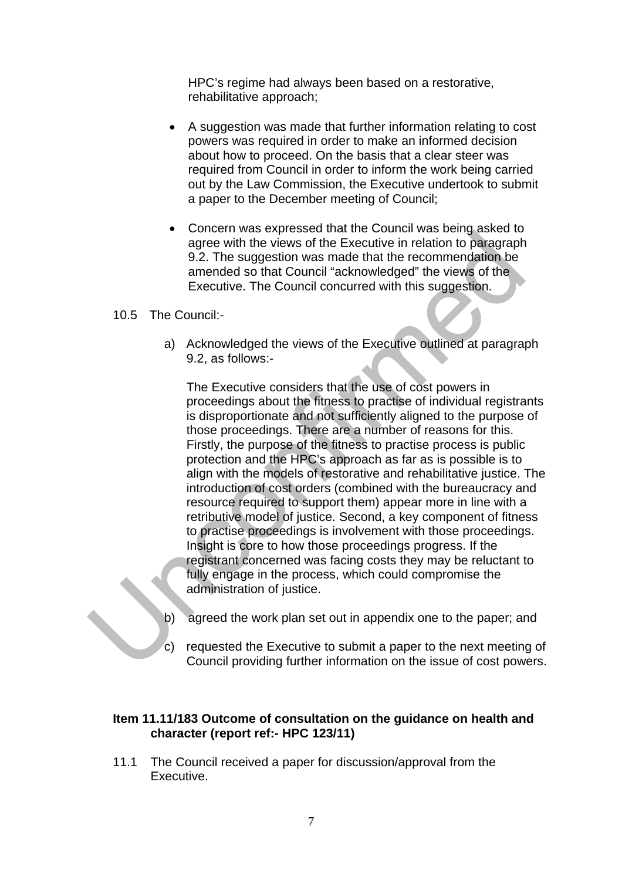HPC's regime had always been based on a restorative, rehabilitative approach;

- A suggestion was made that further information relating to cost powers was required in order to make an informed decision about how to proceed. On the basis that a clear steer was required from Council in order to inform the work being carried out by the Law Commission, the Executive undertook to submit a paper to the December meeting of Council;
- Concern was expressed that the Council was being asked to agree with the views of the Executive in relation to paragraph 9.2. The suggestion was made that the recommendation be amended so that Council "acknowledged" the views of the Executive. The Council concurred with this suggestion.

#### 10.5 The Council:-

a) Acknowledged the views of the Executive outlined at paragraph 9.2, as follows:-

The Executive considers that the use of cost powers in proceedings about the fitness to practise of individual registrants is disproportionate and not sufficiently aligned to the purpose of those proceedings. There are a number of reasons for this. Firstly, the purpose of the fitness to practise process is public protection and the HPC's approach as far as is possible is to align with the models of restorative and rehabilitative justice. The introduction of cost orders (combined with the bureaucracy and resource required to support them) appear more in line with a retributive model of justice. Second, a key component of fitness to practise proceedings is involvement with those proceedings. Insight is core to how those proceedings progress. If the registrant concerned was facing costs they may be reluctant to fully engage in the process, which could compromise the administration of justice.

- b) agreed the work plan set out in appendix one to the paper; and
- c) requested the Executive to submit a paper to the next meeting of Council providing further information on the issue of cost powers.

#### **Item 11.11/183 Outcome of consultation on the guidance on health and character (report ref:- HPC 123/11)**

11.1 The Council received a paper for discussion/approval from the Executive.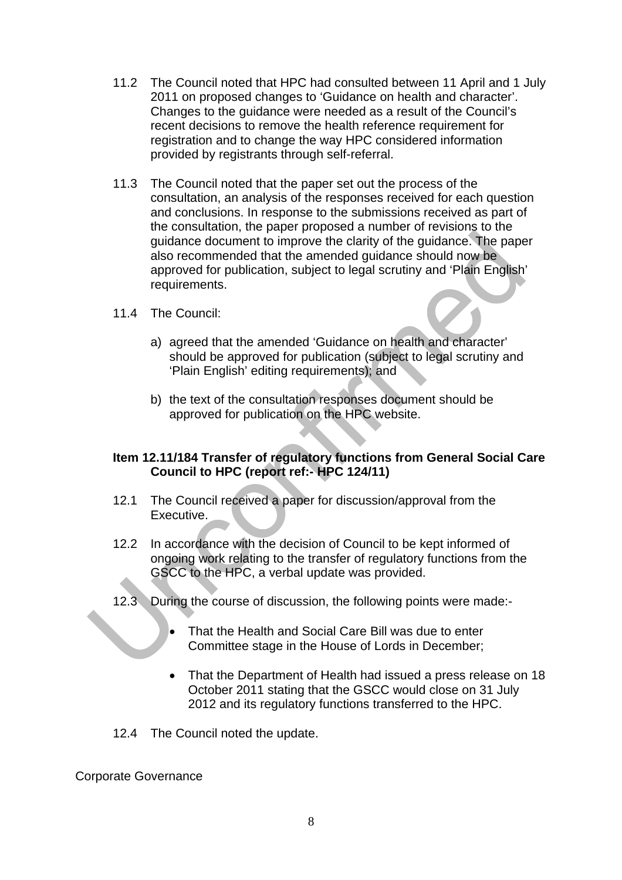- 11.2 The Council noted that HPC had consulted between 11 April and 1 July 2011 on proposed changes to 'Guidance on health and character'. Changes to the guidance were needed as a result of the Council's recent decisions to remove the health reference requirement for registration and to change the way HPC considered information provided by registrants through self-referral.
- 11.3 The Council noted that the paper set out the process of the consultation, an analysis of the responses received for each question and conclusions. In response to the submissions received as part of the consultation, the paper proposed a number of revisions to the guidance document to improve the clarity of the guidance. The paper also recommended that the amended guidance should now be approved for publication, subject to legal scrutiny and 'Plain English' requirements.
- 11.4 The Council:
	- a) agreed that the amended 'Guidance on health and character' should be approved for publication (subject to legal scrutiny and 'Plain English' editing requirements); and
	- b) the text of the consultation responses document should be approved for publication on the HPC website.

# **Item 12.11/184 Transfer of regulatory functions from General Social Care Council to HPC (report ref:- HPC 124/11)**

- 12.1 The Council received a paper for discussion/approval from the Executive.
- 12.2 In accordance with the decision of Council to be kept informed of ongoing work relating to the transfer of regulatory functions from the GSCC to the HPC, a verbal update was provided.
- 12.3 During the course of discussion, the following points were made:-
	- That the Health and Social Care Bill was due to enter Committee stage in the House of Lords in December;
	- That the Department of Health had issued a press release on 18 October 2011 stating that the GSCC would close on 31 July 2012 and its regulatory functions transferred to the HPC.
- 12.4 The Council noted the update.

Corporate Governance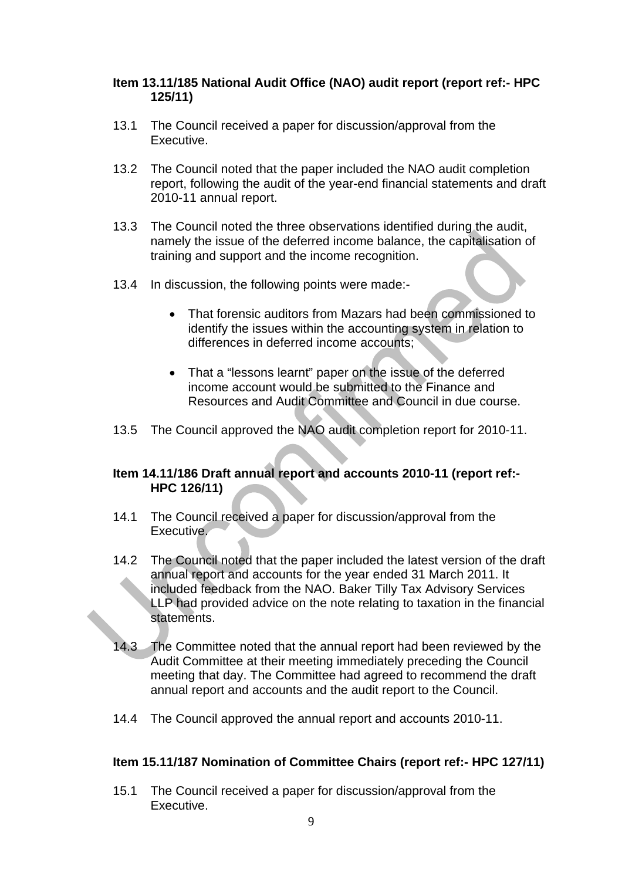# **Item 13.11/185 National Audit Office (NAO) audit report (report ref:- HPC 125/11)**

- 13.1 The Council received a paper for discussion/approval from the Executive.
- 13.2 The Council noted that the paper included the NAO audit completion report, following the audit of the year-end financial statements and draft 2010-11 annual report.
- 13.3 The Council noted the three observations identified during the audit, namely the issue of the deferred income balance, the capitalisation of training and support and the income recognition.
- 13.4 In discussion, the following points were made:-
	- That forensic auditors from Mazars had been commissioned to identify the issues within the accounting system in relation to differences in deferred income accounts;
	- That a "lessons learnt" paper on the issue of the deferred income account would be submitted to the Finance and Resources and Audit Committee and Council in due course.
- 13.5 The Council approved the NAO audit completion report for 2010-11.

# **Item 14.11/186 Draft annual report and accounts 2010-11 (report ref:- HPC 126/11)**

- 14.1 The Council received a paper for discussion/approval from the Executive.
- 14.2 The Council noted that the paper included the latest version of the draft annual report and accounts for the year ended 31 March 2011. It included feedback from the NAO. Baker Tilly Tax Advisory Services LLP had provided advice on the note relating to taxation in the financial statements.
- 14.3 The Committee noted that the annual report had been reviewed by the Audit Committee at their meeting immediately preceding the Council meeting that day. The Committee had agreed to recommend the draft annual report and accounts and the audit report to the Council.
- 14.4 The Council approved the annual report and accounts 2010-11.

# **Item 15.11/187 Nomination of Committee Chairs (report ref:- HPC 127/11)**

15.1 The Council received a paper for discussion/approval from the Executive.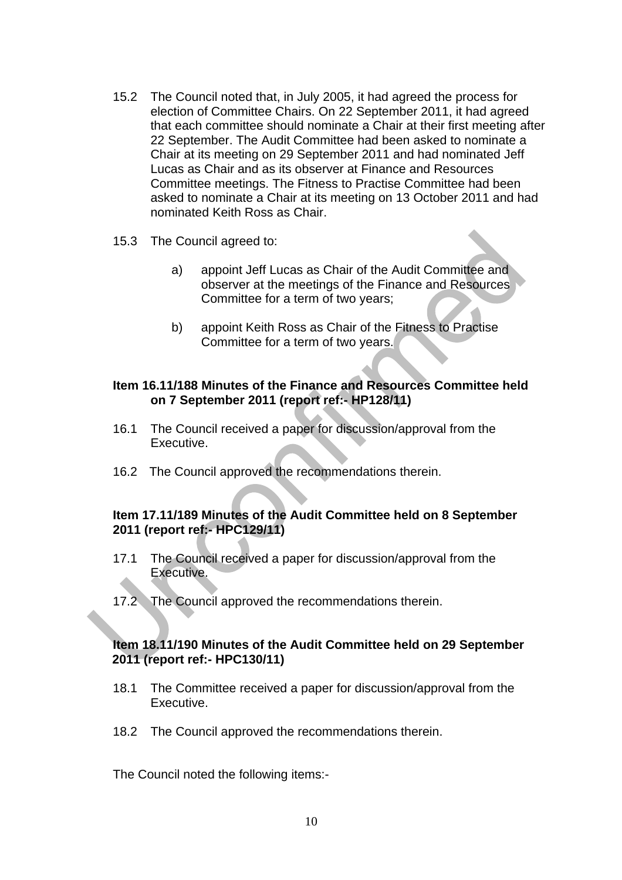- 15.2 The Council noted that, in July 2005, it had agreed the process for election of Committee Chairs. On 22 September 2011, it had agreed that each committee should nominate a Chair at their first meeting after 22 September. The Audit Committee had been asked to nominate a Chair at its meeting on 29 September 2011 and had nominated Jeff Lucas as Chair and as its observer at Finance and Resources Committee meetings. The Fitness to Practise Committee had been asked to nominate a Chair at its meeting on 13 October 2011 and had nominated Keith Ross as Chair.
- 15.3 The Council agreed to:
	- a) appoint Jeff Lucas as Chair of the Audit Committee and observer at the meetings of the Finance and Resources Committee for a term of two years;
	- b) appoint Keith Ross as Chair of the Fitness to Practise Committee for a term of two years.

### **Item 16.11/188 Minutes of the Finance and Resources Committee held on 7 September 2011 (report ref:- HP128/11)**

- 16.1 The Council received a paper for discussion/approval from the Executive.
- 16.2 The Council approved the recommendations therein.

#### **Item 17.11/189 Minutes of the Audit Committee held on 8 September 2011 (report ref:- HPC129/11)**

- 17.1 The Council received a paper for discussion/approval from the Executive.
- 17.2 The Council approved the recommendations therein.

#### **Item 18.11/190 Minutes of the Audit Committee held on 29 September 2011 (report ref:- HPC130/11)**

- 18.1 The Committee received a paper for discussion/approval from the Executive.
- 18.2 The Council approved the recommendations therein.

The Council noted the following items:-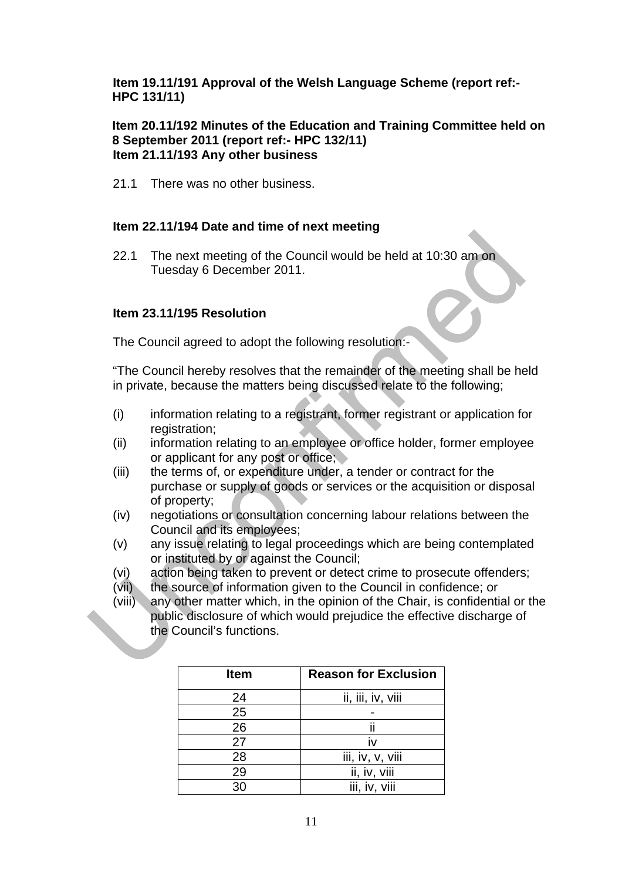**Item 19.11/191 Approval of the Welsh Language Scheme (report ref:- HPC 131/11)** 

#### **Item 20.11/192 Minutes of the Education and Training Committee held on 8 September 2011 (report ref:- HPC 132/11) Item 21.11/193 Any other business**

21.1 There was no other business.

# **Item 22.11/194 Date and time of next meeting**

22.1 The next meeting of the Council would be held at 10:30 am on Tuesday 6 December 2011.

# **Item 23.11/195 Resolution**

The Council agreed to adopt the following resolution:-

"The Council hereby resolves that the remainder of the meeting shall be held in private, because the matters being discussed relate to the following;

- (i) information relating to a registrant, former registrant or application for registration;
- (ii) information relating to an employee or office holder, former employee or applicant for any post or office;
- (iii) the terms of, or expenditure under, a tender or contract for the purchase or supply of goods or services or the acquisition or disposal of property;
- (iv) negotiations or consultation concerning labour relations between the Council and its employees;
- (v) any issue relating to legal proceedings which are being contemplated or instituted by or against the Council;
- (vi) action being taken to prevent or detect crime to prosecute offenders;
- (vii) the source of information given to the Council in confidence; or
- (viii) any other matter which, in the opinion of the Chair, is confidential or the public disclosure of which would prejudice the effective discharge of the Council's functions.

| <b>Item</b> | <b>Reason for Exclusion</b> |
|-------------|-----------------------------|
| 24          | ii, iii, iv, viii           |
| 25          |                             |
| 26          | ii                          |
| 27          | iv                          |
| 28          | iii, iv, v, viii            |
| 29          | ii, iv, viii                |
| 30          | iii, iv, viii               |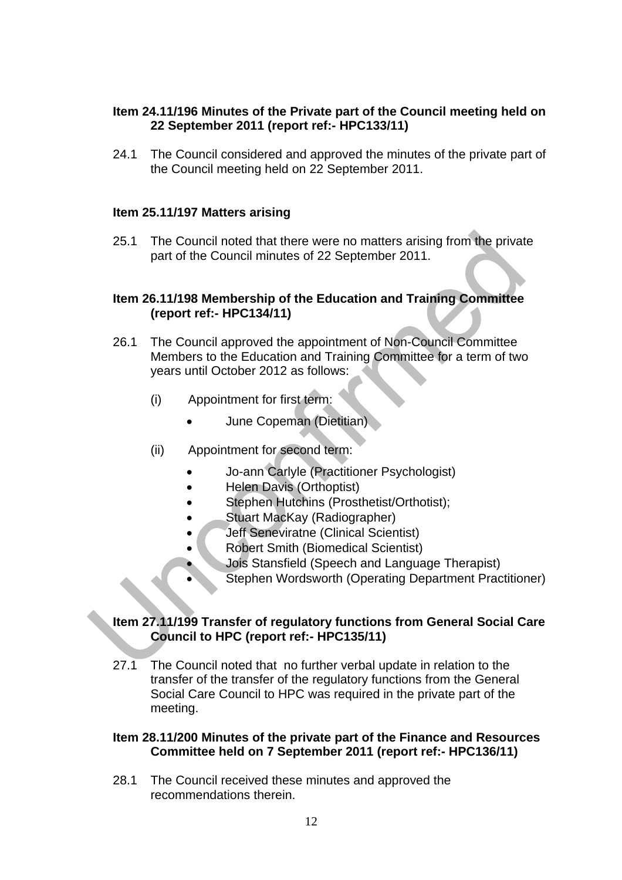# **Item 24.11/196 Minutes of the Private part of the Council meeting held on 22 September 2011 (report ref:- HPC133/11)**

24.1 The Council considered and approved the minutes of the private part of the Council meeting held on 22 September 2011.

# **Item 25.11/197 Matters arising**

25.1 The Council noted that there were no matters arising from the private part of the Council minutes of 22 September 2011.

### **Item 26.11/198 Membership of the Education and Training Committee (report ref:- HPC134/11)**

- 26.1 The Council approved the appointment of Non-Council Committee Members to the Education and Training Committee for a term of two years until October 2012 as follows:
	- (i) Appointment for first term:
		- June Copeman (Dietitian)
	- (ii) Appointment for second term:
		- Jo-ann Carlyle (Practitioner Psychologist)
		- Helen Davis (Orthoptist)
		- Stephen Hutchins (Prosthetist/Orthotist);
		- Stuart MacKay (Radiographer)
		- Jeff Seneviratne (Clinical Scientist)
			- Robert Smith (Biomedical Scientist)
				- Jois Stansfield (Speech and Language Therapist)
			- Stephen Wordsworth (Operating Department Practitioner)

# **Item 27.11/199 Transfer of regulatory functions from General Social Care Council to HPC (report ref:- HPC135/11)**

27.1 The Council noted that no further verbal update in relation to the transfer of the transfer of the regulatory functions from the General Social Care Council to HPC was required in the private part of the meeting.

#### **Item 28.11/200 Minutes of the private part of the Finance and Resources Committee held on 7 September 2011 (report ref:- HPC136/11)**

28.1 The Council received these minutes and approved the recommendations therein.